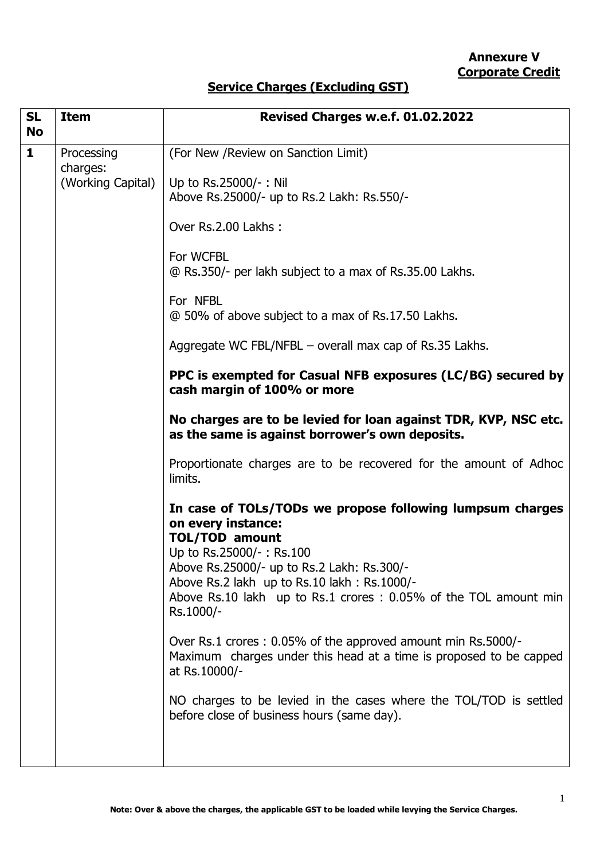# **Service Charges (Excluding GST)**

| <b>SL</b><br><b>No</b> | <b>Item</b>            | Revised Charges w.e.f. 01.02.2022                                                                                                                                                                                                                                                                                                                                      |  |
|------------------------|------------------------|------------------------------------------------------------------------------------------------------------------------------------------------------------------------------------------------------------------------------------------------------------------------------------------------------------------------------------------------------------------------|--|
| $\mathbf{1}$           | Processing<br>charges: | (For New / Review on Sanction Limit)                                                                                                                                                                                                                                                                                                                                   |  |
|                        | (Working Capital)      | Up to Rs.25000/-: Nil<br>Above Rs.25000/- up to Rs.2 Lakh: Rs.550/-                                                                                                                                                                                                                                                                                                    |  |
|                        |                        | Over Rs.2.00 Lakhs:                                                                                                                                                                                                                                                                                                                                                    |  |
|                        |                        | For WCFBL<br>@ Rs.350/- per lakh subject to a max of Rs.35.00 Lakhs.                                                                                                                                                                                                                                                                                                   |  |
|                        |                        | For NFBL<br>@ 50% of above subject to a max of Rs.17.50 Lakhs.                                                                                                                                                                                                                                                                                                         |  |
|                        |                        | Aggregate WC FBL/NFBL – overall max cap of Rs.35 Lakhs.                                                                                                                                                                                                                                                                                                                |  |
|                        |                        | PPC is exempted for Casual NFB exposures (LC/BG) secured by<br>cash margin of 100% or more                                                                                                                                                                                                                                                                             |  |
|                        |                        | No charges are to be levied for loan against TDR, KVP, NSC etc.<br>as the same is against borrower's own deposits.                                                                                                                                                                                                                                                     |  |
|                        |                        | Proportionate charges are to be recovered for the amount of Adhoc<br>limits.                                                                                                                                                                                                                                                                                           |  |
| Rs.1000/-              |                        | In case of TOLs/TODs we propose following lumpsum charges<br>on every instance:<br><b>TOL/TOD amount</b><br>Up to Rs.25000/-: Rs.100<br>Above Rs.25000/- up to Rs.2 Lakh: Rs.300/-<br>Above Rs.2 lakh up to Rs.10 lakh : Rs.1000/-<br>Above Rs.10 lakh up to Rs.1 crores : 0.05% of the TOL amount min<br>Over Rs.1 crores: 0.05% of the approved amount min Rs.5000/- |  |
|                        |                        | Maximum charges under this head at a time is proposed to be capped<br>at Rs.10000/-                                                                                                                                                                                                                                                                                    |  |
|                        |                        | NO charges to be levied in the cases where the TOL/TOD is settled<br>before close of business hours (same day).                                                                                                                                                                                                                                                        |  |
|                        |                        |                                                                                                                                                                                                                                                                                                                                                                        |  |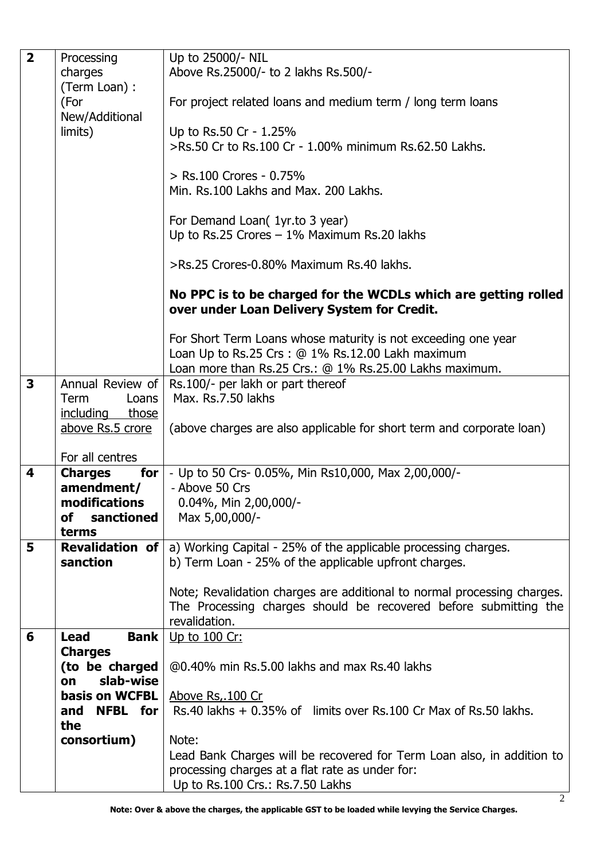| $\overline{2}$                                                                    | Processing                           | Up to 25000/- NIL                                                                        |  |
|-----------------------------------------------------------------------------------|--------------------------------------|------------------------------------------------------------------------------------------|--|
|                                                                                   | charges                              | Above Rs.25000/- to 2 lakhs Rs.500/-                                                     |  |
|                                                                                   | (Term Loan) :                        |                                                                                          |  |
|                                                                                   | (For                                 | For project related loans and medium term / long term loans                              |  |
|                                                                                   | New/Additional                       |                                                                                          |  |
|                                                                                   | limits)                              | Up to Rs.50 Cr - 1.25%                                                                   |  |
|                                                                                   |                                      | >Rs.50 Cr to Rs.100 Cr - 1.00% minimum Rs.62.50 Lakhs.                                   |  |
|                                                                                   |                                      |                                                                                          |  |
|                                                                                   |                                      | > Rs.100 Crores - 0.75%                                                                  |  |
|                                                                                   |                                      | Min. Rs.100 Lakhs and Max. 200 Lakhs.                                                    |  |
|                                                                                   |                                      |                                                                                          |  |
|                                                                                   |                                      | For Demand Loan( 1yr.to 3 year)                                                          |  |
|                                                                                   |                                      | Up to Rs.25 Crores $-1\%$ Maximum Rs.20 lakhs                                            |  |
|                                                                                   |                                      | >Rs.25 Crores-0.80% Maximum Rs.40 lakhs.                                                 |  |
|                                                                                   |                                      |                                                                                          |  |
|                                                                                   |                                      | No PPC is to be charged for the WCDLs which are getting rolled                           |  |
|                                                                                   |                                      | over under Loan Delivery System for Credit.                                              |  |
|                                                                                   |                                      |                                                                                          |  |
|                                                                                   |                                      | For Short Term Loans whose maturity is not exceeding one year                            |  |
|                                                                                   |                                      | Loan Up to Rs.25 Crs: $@1\%$ Rs.12.00 Lakh maximum                                       |  |
| $\overline{\mathbf{3}}$                                                           |                                      | Loan more than Rs.25 Crs.: @ 1% Rs.25.00 Lakhs maximum.                                  |  |
|                                                                                   | Annual Review of                     | Rs.100/- per lakh or part thereof<br>Max. Rs.7.50 lakhs                                  |  |
|                                                                                   | <b>Term</b><br>Loans<br>those        |                                                                                          |  |
|                                                                                   | <u>including</u><br>above Rs.5 crore | (above charges are also applicable for short term and corporate loan)                    |  |
|                                                                                   |                                      |                                                                                          |  |
|                                                                                   | For all centres                      |                                                                                          |  |
| 4                                                                                 | <b>Charges</b><br>for                | - Up to 50 Crs- 0.05%, Min Rs10,000, Max 2,00,000/-                                      |  |
|                                                                                   | amendment/                           | - Above 50 Crs                                                                           |  |
| modifications                                                                     |                                      | $0.04\%$ , Min 2,00,000/-                                                                |  |
|                                                                                   | sanctioned<br><b>of</b>              | Max 5,00,000/-                                                                           |  |
| terms                                                                             |                                      |                                                                                          |  |
| 5                                                                                 |                                      | <b>Revalidation of</b> $ a $ Working Capital - 25% of the applicable processing charges. |  |
|                                                                                   | sanction                             | b) Term Loan - 25% of the applicable upfront charges.                                    |  |
|                                                                                   |                                      |                                                                                          |  |
|                                                                                   |                                      | Note; Revalidation charges are additional to normal processing charges.                  |  |
|                                                                                   |                                      | The Processing charges should be recovered before submitting the<br>revalidation.        |  |
| 6                                                                                 | <b>Lead</b><br><b>Bank</b>           | Up to 100 Cr:                                                                            |  |
|                                                                                   | <b>Charges</b>                       |                                                                                          |  |
| (to be charged<br>@0.40% min Rs.5.00 lakhs and max Rs.40 lakhs<br>slab-wise<br>on |                                      |                                                                                          |  |
|                                                                                   |                                      |                                                                                          |  |
|                                                                                   | <b>basis on WCFBL</b>                | Above Rs, 100 Cr                                                                         |  |
|                                                                                   | <b>NFBL</b> for<br>and               | Rs.40 lakhs $+$ 0.35% of limits over Rs.100 Cr Max of Rs.50 lakhs.                       |  |
|                                                                                   | the                                  |                                                                                          |  |
|                                                                                   | consortium)                          | Note:                                                                                    |  |
|                                                                                   |                                      | Lead Bank Charges will be recovered for Term Loan also, in addition to                   |  |
|                                                                                   |                                      | processing charges at a flat rate as under for:                                          |  |
|                                                                                   |                                      | Up to Rs.100 Crs.: Rs.7.50 Lakhs                                                         |  |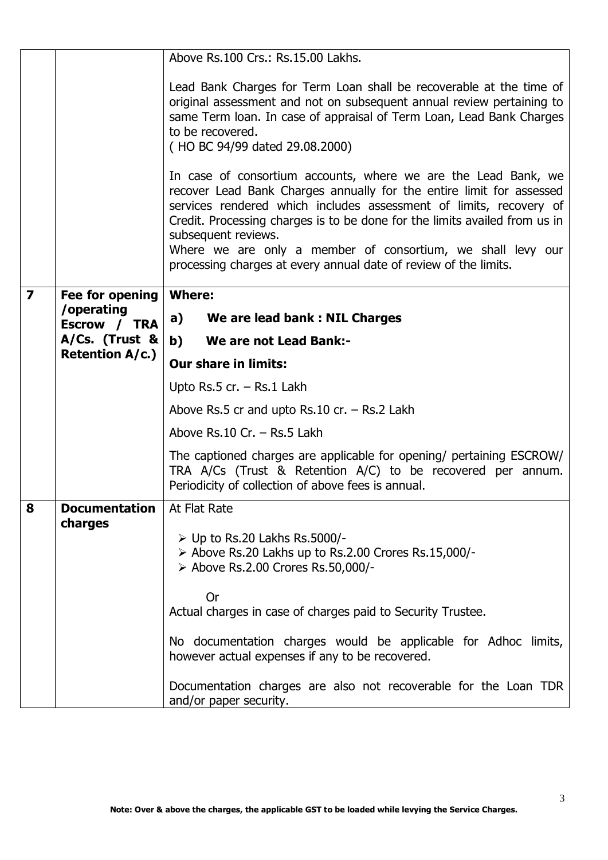|                         |                            | Above Rs.100 Crs.: Rs.15.00 Lakhs.                                                                                                                                                                                                                                                                                                                                                                                                                                                                                                                                                                                                                                                                                                 |  |  |  |
|-------------------------|----------------------------|------------------------------------------------------------------------------------------------------------------------------------------------------------------------------------------------------------------------------------------------------------------------------------------------------------------------------------------------------------------------------------------------------------------------------------------------------------------------------------------------------------------------------------------------------------------------------------------------------------------------------------------------------------------------------------------------------------------------------------|--|--|--|
|                         |                            | Lead Bank Charges for Term Loan shall be recoverable at the time of<br>original assessment and not on subsequent annual review pertaining to<br>same Term Ioan. In case of appraisal of Term Loan, Lead Bank Charges<br>to be recovered.<br>(HO BC 94/99 dated 29.08.2000)<br>In case of consortium accounts, where we are the Lead Bank, we<br>recover Lead Bank Charges annually for the entire limit for assessed<br>services rendered which includes assessment of limits, recovery of<br>Credit. Processing charges is to be done for the limits availed from us in<br>subsequent reviews.<br>Where we are only a member of consortium, we shall levy our<br>processing charges at every annual date of review of the limits. |  |  |  |
|                         |                            |                                                                                                                                                                                                                                                                                                                                                                                                                                                                                                                                                                                                                                                                                                                                    |  |  |  |
| $\overline{\mathbf{z}}$ | Fee for opening            | <b>Where:</b>                                                                                                                                                                                                                                                                                                                                                                                                                                                                                                                                                                                                                                                                                                                      |  |  |  |
|                         | /operating<br>Escrow / TRA | a)<br>We are lead bank: NIL Charges                                                                                                                                                                                                                                                                                                                                                                                                                                                                                                                                                                                                                                                                                                |  |  |  |
|                         | A/Cs. (Trust &             | b)<br>We are not Lead Bank:-                                                                                                                                                                                                                                                                                                                                                                                                                                                                                                                                                                                                                                                                                                       |  |  |  |
|                         | <b>Retention A/c.)</b>     | <b>Our share in limits:</b>                                                                                                                                                                                                                                                                                                                                                                                                                                                                                                                                                                                                                                                                                                        |  |  |  |
|                         |                            | Upto Rs.5 cr. - Rs.1 Lakh                                                                                                                                                                                                                                                                                                                                                                                                                                                                                                                                                                                                                                                                                                          |  |  |  |
|                         |                            | Above Rs.5 cr and upto Rs.10 cr. $-$ Rs.2 Lakh                                                                                                                                                                                                                                                                                                                                                                                                                                                                                                                                                                                                                                                                                     |  |  |  |
|                         |                            | Above Rs.10 Cr. - Rs.5 Lakh                                                                                                                                                                                                                                                                                                                                                                                                                                                                                                                                                                                                                                                                                                        |  |  |  |
|                         |                            | The captioned charges are applicable for opening/ pertaining ESCROW/<br>TRA $A/Cs$ (Trust & Retention $A/C$ ) to be recovered per annum.<br>Periodicity of collection of above fees is annual.                                                                                                                                                                                                                                                                                                                                                                                                                                                                                                                                     |  |  |  |
| 8                       | <b>Documentation</b>       | At Flat Rate                                                                                                                                                                                                                                                                                                                                                                                                                                                                                                                                                                                                                                                                                                                       |  |  |  |
| charges                 |                            | $\triangleright$ Up to Rs.20 Lakhs Rs.5000/-<br>> Above Rs.20 Lakhs up to Rs.2.00 Crores Rs.15,000/-<br>> Above Rs.2.00 Crores Rs.50,000/-                                                                                                                                                                                                                                                                                                                                                                                                                                                                                                                                                                                         |  |  |  |
|                         |                            | <b>Or</b>                                                                                                                                                                                                                                                                                                                                                                                                                                                                                                                                                                                                                                                                                                                          |  |  |  |
|                         |                            | Actual charges in case of charges paid to Security Trustee.                                                                                                                                                                                                                                                                                                                                                                                                                                                                                                                                                                                                                                                                        |  |  |  |
|                         |                            | No documentation charges would be applicable for Adhoc limits,<br>however actual expenses if any to be recovered.                                                                                                                                                                                                                                                                                                                                                                                                                                                                                                                                                                                                                  |  |  |  |
|                         |                            | Documentation charges are also not recoverable for the Loan TDR<br>and/or paper security.                                                                                                                                                                                                                                                                                                                                                                                                                                                                                                                                                                                                                                          |  |  |  |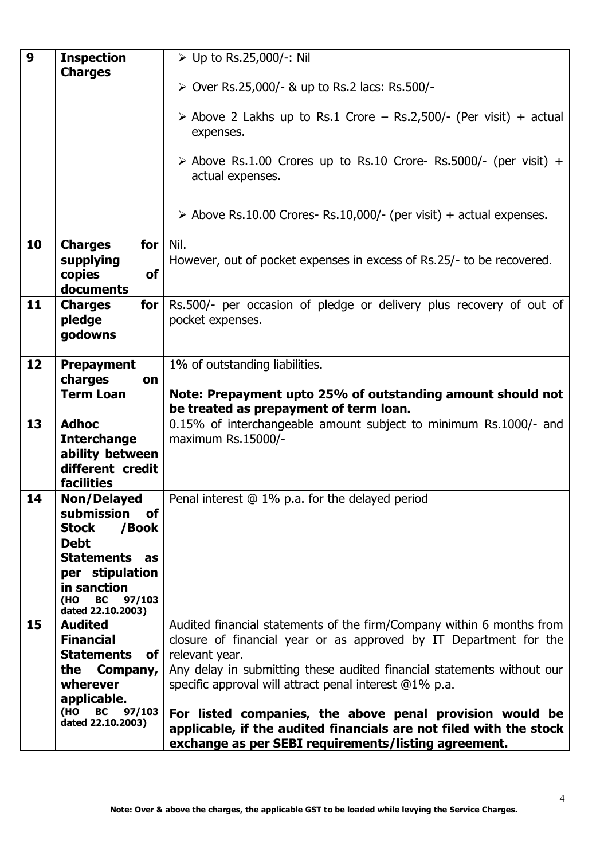| 9  | <b>Inspection</b>                                                                                                                                       | ≻ Up to Rs.25,000/-: Nil                                                                                                       |  |
|----|---------------------------------------------------------------------------------------------------------------------------------------------------------|--------------------------------------------------------------------------------------------------------------------------------|--|
|    | <b>Charges</b>                                                                                                                                          | ▶ Over Rs.25,000/- & up to Rs.2 lacs: Rs.500/-                                                                                 |  |
|    |                                                                                                                                                         |                                                                                                                                |  |
|    |                                                                                                                                                         | $\triangleright$ Above 2 Lakhs up to Rs.1 Crore – Rs.2,500/- (Per visit) + actual<br>expenses.                                 |  |
|    |                                                                                                                                                         | $\triangleright$ Above Rs.1.00 Crores up to Rs.10 Crore- Rs.5000/- (per visit) +<br>actual expenses.                           |  |
|    |                                                                                                                                                         | $\triangleright$ Above Rs.10.00 Crores- Rs.10,000/- (per visit) + actual expenses.                                             |  |
| 10 | Nil.<br><b>Charges</b><br>for<br>supplying<br>However, out of pocket expenses in excess of Rs.25/- to be recovered.<br>copies<br><b>of</b><br>documents |                                                                                                                                |  |
| 11 | <b>Charges</b><br>for<br>pledge<br>godowns                                                                                                              | Rs.500/- per occasion of pledge or delivery plus recovery of out of<br>pocket expenses.                                        |  |
| 12 | <b>Prepayment</b>                                                                                                                                       | 1% of outstanding liabilities.                                                                                                 |  |
|    | charges<br>on                                                                                                                                           |                                                                                                                                |  |
|    | <b>Term Loan</b>                                                                                                                                        | Note: Prepayment upto 25% of outstanding amount should not                                                                     |  |
| 13 | <b>Adhoc</b>                                                                                                                                            | be treated as prepayment of term loan.<br>0.15% of interchangeable amount subject to minimum Rs.1000/- and                     |  |
|    | <b>Interchange</b>                                                                                                                                      | maximum Rs.15000/-                                                                                                             |  |
|    | ability between                                                                                                                                         |                                                                                                                                |  |
|    | different credit                                                                                                                                        |                                                                                                                                |  |
|    | <b>facilities</b>                                                                                                                                       |                                                                                                                                |  |
| 14 | <b>Non/Delayed</b>                                                                                                                                      | Penal interest @ 1% p.a. for the delayed period                                                                                |  |
|    | submission<br><b>of</b>                                                                                                                                 |                                                                                                                                |  |
|    | <b>Stock</b><br>/Book<br><b>Debt</b>                                                                                                                    |                                                                                                                                |  |
|    | <b>Statements as</b>                                                                                                                                    |                                                                                                                                |  |
|    | per stipulation                                                                                                                                         |                                                                                                                                |  |
|    | in sanction                                                                                                                                             |                                                                                                                                |  |
|    | (HO<br><b>BC</b><br>97/103                                                                                                                              |                                                                                                                                |  |
| 15 | dated 22.10.2003)<br><b>Audited</b>                                                                                                                     | Audited financial statements of the firm/Company within 6 months from                                                          |  |
|    | <b>Financial</b>                                                                                                                                        | closure of financial year or as approved by IT Department for the                                                              |  |
|    | <b>Statements</b><br>of l                                                                                                                               | relevant year.                                                                                                                 |  |
|    | Company,<br>the                                                                                                                                         | Any delay in submitting these audited financial statements without our                                                         |  |
|    | wherever                                                                                                                                                | specific approval will attract penal interest @1% p.a.                                                                         |  |
|    | applicable.                                                                                                                                             |                                                                                                                                |  |
|    | (HO<br>97/103<br>BC<br>dated 22.10.2003)                                                                                                                | For listed companies, the above penal provision would be<br>applicable, if the audited financials are not filed with the stock |  |
|    |                                                                                                                                                         | exchange as per SEBI requirements/listing agreement.                                                                           |  |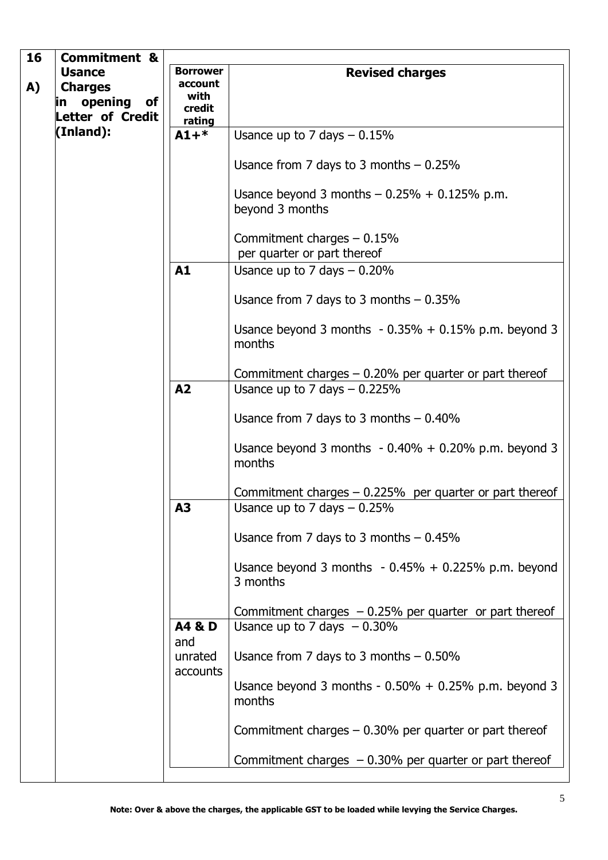| 16 | <b>Commitment &amp;</b>              |                            |                                                                                          |
|----|--------------------------------------|----------------------------|------------------------------------------------------------------------------------------|
|    | <b>Usance</b>                        | <b>Borrower</b>            | <b>Revised charges</b>                                                                   |
| A) | <b>Charges</b>                       | account                    |                                                                                          |
|    | in opening<br>of                     | with<br>credit             |                                                                                          |
|    | <b>Letter of Credit</b><br>(Inland): | rating                     |                                                                                          |
|    |                                      | $A1 +$                     | Usance up to 7 days $-0.15%$                                                             |
|    |                                      |                            | Usance from 7 days to 3 months $-0.25\%$                                                 |
|    |                                      |                            | Usance beyond 3 months $-0.25% + 0.125%$ p.m.<br>beyond 3 months                         |
|    |                                      |                            | Commitment charges $-0.15%$<br>per quarter or part thereof                               |
|    |                                      | A1                         | Usance up to 7 days $-0.20\%$                                                            |
|    |                                      |                            |                                                                                          |
|    |                                      |                            | Usance from 7 days to 3 months $-0.35\%$                                                 |
|    |                                      |                            | Usance beyond 3 months $-0.35% + 0.15%$ p.m. beyond 3<br>months                          |
|    |                                      |                            | Commitment charges $-0.20%$ per quarter or part thereof                                  |
|    |                                      | A2                         | Usance up to 7 days $-0.225\%$                                                           |
|    |                                      |                            |                                                                                          |
|    |                                      |                            | Usance from 7 days to 3 months $-0.40\%$                                                 |
|    |                                      |                            | Usance beyond 3 months $-0.40\% + 0.20\%$ p.m. beyond 3<br>months                        |
|    |                                      |                            | Commitment charges $-0.225%$ per quarter or part thereof                                 |
|    |                                      | A3                         | Usance up to 7 days $-0.25%$                                                             |
|    |                                      |                            |                                                                                          |
|    |                                      |                            | Usance from 7 days to 3 months $-0.45\%$                                                 |
|    |                                      |                            | Usance beyond 3 months $-0.45% + 0.225%$ p.m. beyond<br>3 months                         |
|    |                                      |                            |                                                                                          |
|    |                                      | A4 & D                     | Commitment charges $-0.25%$ per quarter or part thereof<br>Usance up to 7 days $-0.30\%$ |
|    |                                      | and<br>unrated<br>accounts | Usance from 7 days to 3 months $-0.50\%$                                                 |
|    |                                      |                            | Usance beyond 3 months - $0.50\% + 0.25\%$ p.m. beyond 3<br>months                       |
|    |                                      |                            | Commitment charges $-$ 0.30% per quarter or part thereof                                 |
|    |                                      |                            | Commitment charges $-0.30\%$ per quarter or part thereof                                 |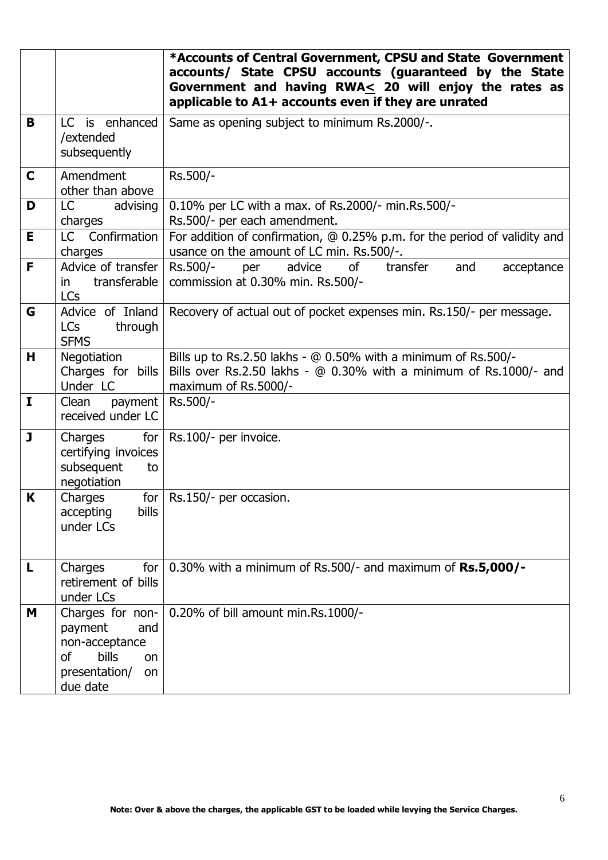|              |                                                                                                                         | *Accounts of Central Government, CPSU and State Government<br>accounts/ State CPSU accounts (guaranteed by the State<br>Government and having RWA< 20 will enjoy the rates as<br>applicable to A1+ accounts even if they are unrated |  |
|--------------|-------------------------------------------------------------------------------------------------------------------------|--------------------------------------------------------------------------------------------------------------------------------------------------------------------------------------------------------------------------------------|--|
| B            | LC is enhanced<br>/extended<br>subsequently                                                                             | Same as opening subject to minimum Rs.2000/-.                                                                                                                                                                                        |  |
| $\mathbf C$  | Amendment<br>other than above                                                                                           | Rs.500/-                                                                                                                                                                                                                             |  |
| D            | LC<br>advising<br>charges                                                                                               | 0.10% per LC with a max. of Rs.2000/- min.Rs.500/-<br>Rs.500/- per each amendment.                                                                                                                                                   |  |
| E            | LC Confirmation<br>charges                                                                                              | For addition of confirmation, @ 0.25% p.m. for the period of validity and<br>usance on the amount of LC min. Rs.500/-.                                                                                                               |  |
| F            | Advice of transfer  <br>transferable<br>in<br><b>LCs</b>                                                                | of<br>Rs.500/-<br>advice<br>transfer<br>and<br>per<br>acceptance<br>commission at 0.30% min. Rs.500/-                                                                                                                                |  |
| G            | Advice of Inland<br><b>LCs</b><br>through<br><b>SFMS</b>                                                                | Recovery of actual out of pocket expenses min. Rs.150/- per message.                                                                                                                                                                 |  |
| н            | Negotiation<br>Charges for bills<br>Under LC                                                                            | Bills up to Rs.2.50 lakhs - @ 0.50% with a minimum of Rs.500/-<br>Bills over Rs.2.50 lakhs - @ 0.30% with a minimum of Rs.1000/- and<br>maximum of Rs.5000/-                                                                         |  |
| $\mathbf I$  | payment<br>Clean<br>received under LC                                                                                   | Rs.500/-                                                                                                                                                                                                                             |  |
| $\mathbf{J}$ | Charges<br>for $\vert$<br>certifying invoices<br>subsequent<br>to<br>negotiation                                        | Rs.100/- per invoice.                                                                                                                                                                                                                |  |
| K            | Charges<br>for <sub>1</sub><br>bills<br>accepting<br>under LCs                                                          | Rs.150/- per occasion.                                                                                                                                                                                                               |  |
| L            | for<br>Charges<br>retirement of bills<br>under LCs                                                                      | 0.30% with a minimum of Rs.500/- and maximum of $Rs.5,000/-$                                                                                                                                                                         |  |
| Μ            | Charges for non-<br>payment<br>and<br>non-acceptance<br>bills<br><sub>of</sub><br>on<br>presentation/<br>on<br>due date | 0.20% of bill amount min.Rs.1000/-                                                                                                                                                                                                   |  |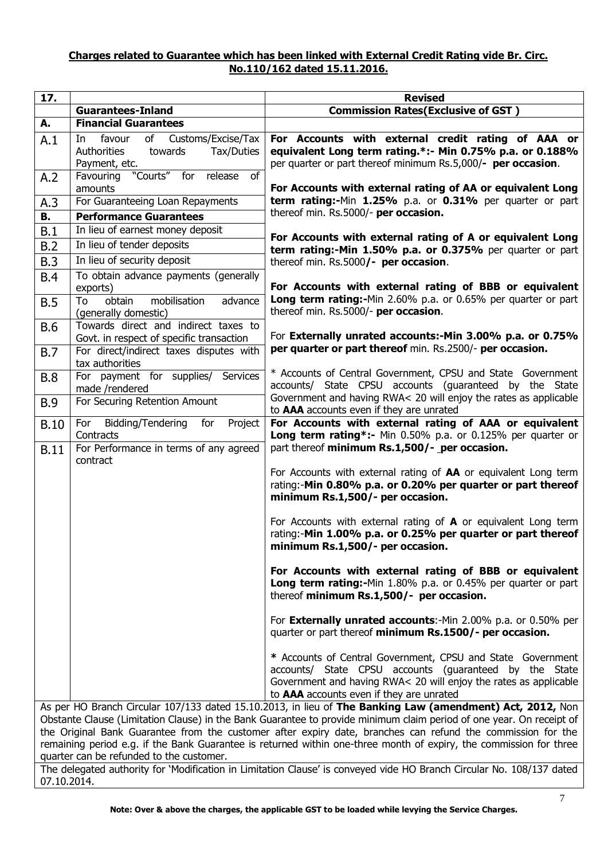#### **Charges related to Guarantee which has been linked with External Credit Rating vide Br. Circ. No.110/162 dated 15.11.2016.**

| 17.                                                                                                                                                                                                                                                                                                                                                                                                                                                                                                                |                                                                                                   | <b>Revised</b>                                                                                                                                                                                                                        |
|--------------------------------------------------------------------------------------------------------------------------------------------------------------------------------------------------------------------------------------------------------------------------------------------------------------------------------------------------------------------------------------------------------------------------------------------------------------------------------------------------------------------|---------------------------------------------------------------------------------------------------|---------------------------------------------------------------------------------------------------------------------------------------------------------------------------------------------------------------------------------------|
|                                                                                                                                                                                                                                                                                                                                                                                                                                                                                                                    | <b>Guarantees-Inland</b>                                                                          | <b>Commission Rates (Exclusive of GST)</b>                                                                                                                                                                                            |
| А.                                                                                                                                                                                                                                                                                                                                                                                                                                                                                                                 | <b>Financial Guarantees</b>                                                                       |                                                                                                                                                                                                                                       |
| A.1                                                                                                                                                                                                                                                                                                                                                                                                                                                                                                                | favour<br>of<br>Customs/Excise/Tax<br>In<br>Authorities<br>towards<br>Tax/Duties<br>Payment, etc. | For Accounts with external credit rating of AAA or<br>equivalent Long term rating.*:- Min 0.75% p.a. or 0.188%<br>per quarter or part thereof minimum Rs.5,000/- per occasion.                                                        |
| A.2                                                                                                                                                                                                                                                                                                                                                                                                                                                                                                                | "Courts"<br>Favouring<br>for release<br>of<br>amounts                                             | For Accounts with external rating of AA or equivalent Long                                                                                                                                                                            |
| A.3                                                                                                                                                                                                                                                                                                                                                                                                                                                                                                                | For Guaranteeing Loan Repayments                                                                  | term rating:-Min 1.25% p.a. or 0.31% per quarter or part                                                                                                                                                                              |
| В.                                                                                                                                                                                                                                                                                                                                                                                                                                                                                                                 | <b>Performance Guarantees</b>                                                                     | thereof min. Rs.5000/- per occasion.                                                                                                                                                                                                  |
| B.1                                                                                                                                                                                                                                                                                                                                                                                                                                                                                                                | In lieu of earnest money deposit                                                                  | For Accounts with external rating of A or equivalent Long                                                                                                                                                                             |
| B.2                                                                                                                                                                                                                                                                                                                                                                                                                                                                                                                | In lieu of tender deposits                                                                        | term rating:-Min 1.50% p.a. or 0.375% per quarter or part                                                                                                                                                                             |
| B.3                                                                                                                                                                                                                                                                                                                                                                                                                                                                                                                | In lieu of security deposit                                                                       | thereof min. Rs.5000/- per occasion.                                                                                                                                                                                                  |
| <b>B.4</b>                                                                                                                                                                                                                                                                                                                                                                                                                                                                                                         | To obtain advance payments (generally<br>exports)                                                 | For Accounts with external rating of BBB or equivalent                                                                                                                                                                                |
| B.5                                                                                                                                                                                                                                                                                                                                                                                                                                                                                                                | mobilisation<br>obtain<br>To<br>advance<br>(generally domestic)                                   | Long term rating:-Min 2.60% p.a. or 0.65% per quarter or part<br>thereof min. Rs.5000/- per occasion.                                                                                                                                 |
| <b>B.6</b>                                                                                                                                                                                                                                                                                                                                                                                                                                                                                                         | Towards direct and indirect taxes to<br>Govt. in respect of specific transaction                  | For Externally unrated accounts:-Min 3.00% p.a. or 0.75%                                                                                                                                                                              |
| <b>B.7</b>                                                                                                                                                                                                                                                                                                                                                                                                                                                                                                         | For direct/indirect taxes disputes with<br>tax authorities                                        | per quarter or part thereof min. Rs.2500/- per occasion.                                                                                                                                                                              |
| <b>B.8</b>                                                                                                                                                                                                                                                                                                                                                                                                                                                                                                         | For payment for supplies/ Services<br>made /rendered                                              | * Accounts of Central Government, CPSU and State Government<br>accounts/ State CPSU accounts (guaranteed by the State                                                                                                                 |
| <b>B.9</b>                                                                                                                                                                                                                                                                                                                                                                                                                                                                                                         | For Securing Retention Amount                                                                     | Government and having RWA< 20 will enjoy the rates as applicable<br>to AAA accounts even if they are unrated                                                                                                                          |
| <b>B.10</b>                                                                                                                                                                                                                                                                                                                                                                                                                                                                                                        | Bidding/Tendering<br>for<br>Project<br>For                                                        | For Accounts with external rating of AAA or equivalent                                                                                                                                                                                |
| <b>B.11</b>                                                                                                                                                                                                                                                                                                                                                                                                                                                                                                        | Contracts<br>For Performance in terms of any agreed<br>contract                                   | Long term rating*:- Min 0.50% p.a. or 0.125% per quarter or<br>part thereof minimum Rs.1,500/- per occasion.                                                                                                                          |
|                                                                                                                                                                                                                                                                                                                                                                                                                                                                                                                    |                                                                                                   | For Accounts with external rating of AA or equivalent Long term<br>rating:-Min 0.80% p.a. or 0.20% per quarter or part thereof<br>minimum Rs.1,500/- per occasion.                                                                    |
|                                                                                                                                                                                                                                                                                                                                                                                                                                                                                                                    |                                                                                                   | For Accounts with external rating of $A$ or equivalent Long term<br>rating:-Min 1.00% p.a. or 0.25% per quarter or part thereof<br>minimum Rs.1,500/- per occasion.                                                                   |
|                                                                                                                                                                                                                                                                                                                                                                                                                                                                                                                    |                                                                                                   | For Accounts with external rating of BBB or equivalent<br>Long term rating:-Min 1.80% p.a. or 0.45% per quarter or part<br>thereof minimum Rs.1,500/- per occasion.                                                                   |
|                                                                                                                                                                                                                                                                                                                                                                                                                                                                                                                    |                                                                                                   | For Externally unrated accounts:-Min 2.00% p.a. or 0.50% per<br>quarter or part thereof minimum Rs.1500/- per occasion.                                                                                                               |
|                                                                                                                                                                                                                                                                                                                                                                                                                                                                                                                    |                                                                                                   | * Accounts of Central Government, CPSU and State Government<br>accounts/ State CPSU accounts (quaranteed by the State<br>Government and having RWA< 20 will enjoy the rates as applicable<br>to AAA accounts even if they are unrated |
| As per HO Branch Circular 107/133 dated 15.10.2013, in lieu of The Banking Law (amendment) Act, 2012, Non<br>Obstante Clause (Limitation Clause) in the Bank Guarantee to provide minimum claim period of one year. On receipt of<br>the Original Bank Guarantee from the customer after expiry date, branches can refund the commission for the<br>remaining period e.g. if the Bank Guarantee is returned within one-three month of expiry, the commission for three<br>quarter can be refunded to the customer. |                                                                                                   |                                                                                                                                                                                                                                       |

The delegated authority for 'Modification in Limitation Clause' is conveyed vide HO Branch Circular No. 108/137 dated  $07.10.2014.$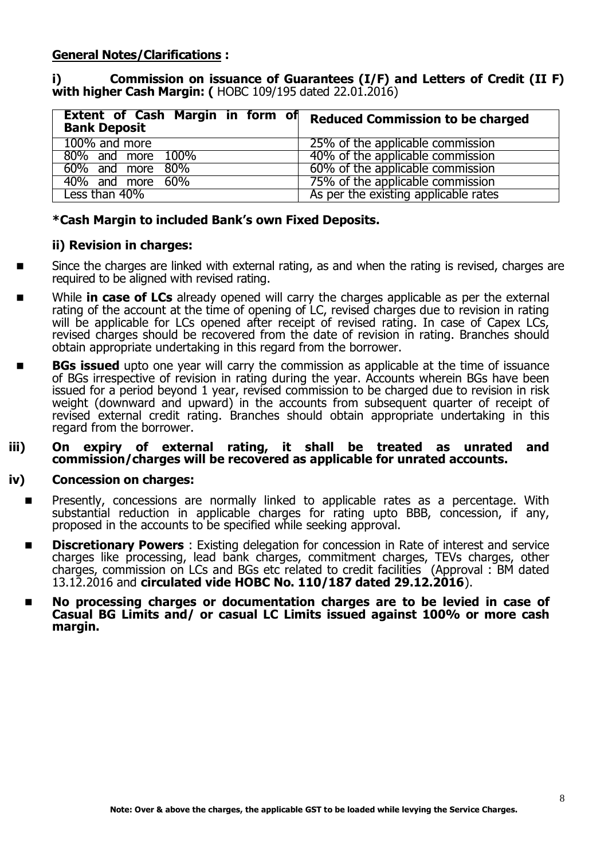### **General Notes/Clarifications :**

#### **i) Commission on issuance of Guarantees (I/F) and Letters of Credit (II F) with higher Cash Margin: (** HOBC 109/195 dated 22.01.2016)

| Extent of Cash Margin in form of<br><b>Bank Deposit</b> | <b>Reduced Commission to be charged</b> |
|---------------------------------------------------------|-----------------------------------------|
| 100% and more                                           | 25% of the applicable commission        |
| 80% and more 100%                                       | 40% of the applicable commission        |
| 60% and more 80%                                        | 60% of the applicable commission        |
| 40% and more 60%                                        | 75% of the applicable commission        |
| Less than 40%                                           | As per the existing applicable rates    |

#### **\*Cash Margin to included Bank's own Fixed Deposits.**

#### **ii) Revision in charges:**

- Since the charges are linked with external rating, as and when the rating is revised, charges are required to be aligned with revised rating.
- While **in case of LCs** already opened will carry the charges applicable as per the external rating of the account at the time of opening of LC, revised charges due to revision in rating will be applicable for LCs opened after receipt of revised rating. In case of Capex LCs, revised charges should be recovered from the date of revision in rating. Branches should obtain appropriate undertaking in this regard from the borrower.
- **BGs issued** upto one year will carry the commission as applicable at the time of issuance of BGs irrespective of revision in rating during the year. Accounts wherein BGs have been issued for a period beyond 1 year, revised commission to be charged due to revision in risk weight (downward and upward) in the accounts from subsequent quarter of receipt of revised external credit rating. Branches should obtain appropriate undertaking in this regard from the borrower.
- **iii) On expiry of external rating, it shall be treated as unrated and commission/charges will be recovered as applicable for unrated accounts.**

#### **iv) Concession on charges:**

- Presently, concessions are normally linked to applicable rates as a percentage. With substantial reduction in applicable charges for rating upto BBB, concession, if any, proposed in the accounts to be specified while seeking approval.
- **Discretionary Powers**: Existing delegation for concession in Rate of interest and service charges like processing, lead bank charges, commitment charges, TEVs charges, other charges, commission on LCs and BGs etc related to credit facilities (Approval : BM dated 13.12.2016 and **circulated vide HOBC No. 110/187 dated 29.12.2016**).
- **No processing charges or documentation charges are to be levied in case of Casual BG Limits and/ or casual LC Limits issued against 100% or more cash margin.**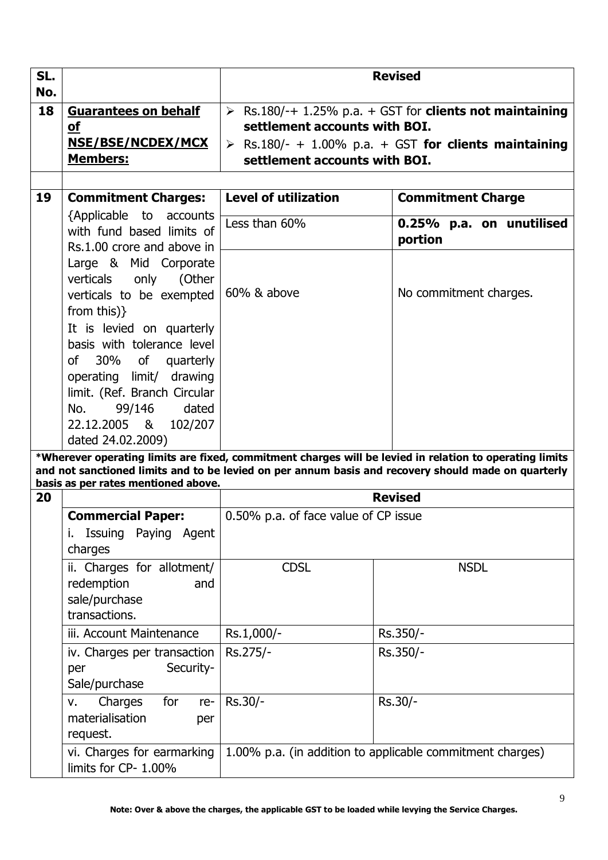| SL.<br>No. |                                                                                                                                                                                                                                                                                                                                                           | <b>Revised</b>                                                                                                                                                                                                    |                                                                                                                                                                                                                                                            |  |
|------------|-----------------------------------------------------------------------------------------------------------------------------------------------------------------------------------------------------------------------------------------------------------------------------------------------------------------------------------------------------------|-------------------------------------------------------------------------------------------------------------------------------------------------------------------------------------------------------------------|------------------------------------------------------------------------------------------------------------------------------------------------------------------------------------------------------------------------------------------------------------|--|
| 18         | <b>Guarantees on behalf</b><br><b>of</b><br>NSE/BSE/NCDEX/MCX<br><b>Members:</b>                                                                                                                                                                                                                                                                          | $\triangleright$ Rs.180/-+ 1.25% p.a. + GST for clients not maintaining<br>settlement accounts with BOI.<br>$\triangleright$ Rs.180/- + 1.00% p.a. + GST for clients maintaining<br>settlement accounts with BOI. |                                                                                                                                                                                                                                                            |  |
| 19         |                                                                                                                                                                                                                                                                                                                                                           | <b>Level of utilization</b>                                                                                                                                                                                       |                                                                                                                                                                                                                                                            |  |
|            | <b>Commitment Charges:</b><br>{Applicable to accounts                                                                                                                                                                                                                                                                                                     |                                                                                                                                                                                                                   | <b>Commitment Charge</b>                                                                                                                                                                                                                                   |  |
|            | with fund based limits of<br>Rs.1.00 crore and above in                                                                                                                                                                                                                                                                                                   | Less than 60%                                                                                                                                                                                                     | 0.25% p.a. on unutilised<br>portion                                                                                                                                                                                                                        |  |
| 20         | Large & Mid Corporate<br>verticals only (Other<br>verticals to be exempted<br>from this $)\}$<br>It is levied on quarterly<br>basis with tolerance level<br>of 30% of quarterly<br>operating limit/ drawing<br>limit. (Ref. Branch Circular<br>99/146<br>dated<br>No.<br>22.12.2005 & 102/207<br>dated 24.02.2009)<br>basis as per rates mentioned above. | 60% & above                                                                                                                                                                                                       | No commitment charges.<br>*Wherever operating limits are fixed, commitment charges will be levied in relation to operating limits<br>and not sanctioned limits and to be levied on per annum basis and recovery should made on quarterly<br><b>Revised</b> |  |
|            | <b>Commercial Paper:</b>                                                                                                                                                                                                                                                                                                                                  | 0.50% p.a. of face value of CP issue                                                                                                                                                                              |                                                                                                                                                                                                                                                            |  |
|            | Issuing Paying Agent<br>i.<br>charges                                                                                                                                                                                                                                                                                                                     |                                                                                                                                                                                                                   |                                                                                                                                                                                                                                                            |  |
|            | ii. Charges for allotment/<br>redemption<br>and<br>sale/purchase<br>transactions.                                                                                                                                                                                                                                                                         | <b>CDSL</b>                                                                                                                                                                                                       | <b>NSDL</b>                                                                                                                                                                                                                                                |  |
|            | iii. Account Maintenance                                                                                                                                                                                                                                                                                                                                  | Rs.1,000/-                                                                                                                                                                                                        | Rs.350/-                                                                                                                                                                                                                                                   |  |
|            | iv. Charges per transaction<br>Security-<br>per<br>Sale/purchase                                                                                                                                                                                                                                                                                          | Rs.275/-                                                                                                                                                                                                          | Rs.350/-                                                                                                                                                                                                                                                   |  |
|            | Charges<br>for<br>re-<br>v.<br>materialisation<br>per<br>request.                                                                                                                                                                                                                                                                                         | Rs.30/-                                                                                                                                                                                                           | Rs.30/-                                                                                                                                                                                                                                                    |  |
|            | vi. Charges for earmarking<br>limits for CP- 1.00%                                                                                                                                                                                                                                                                                                        |                                                                                                                                                                                                                   | 1.00% p.a. (in addition to applicable commitment charges)                                                                                                                                                                                                  |  |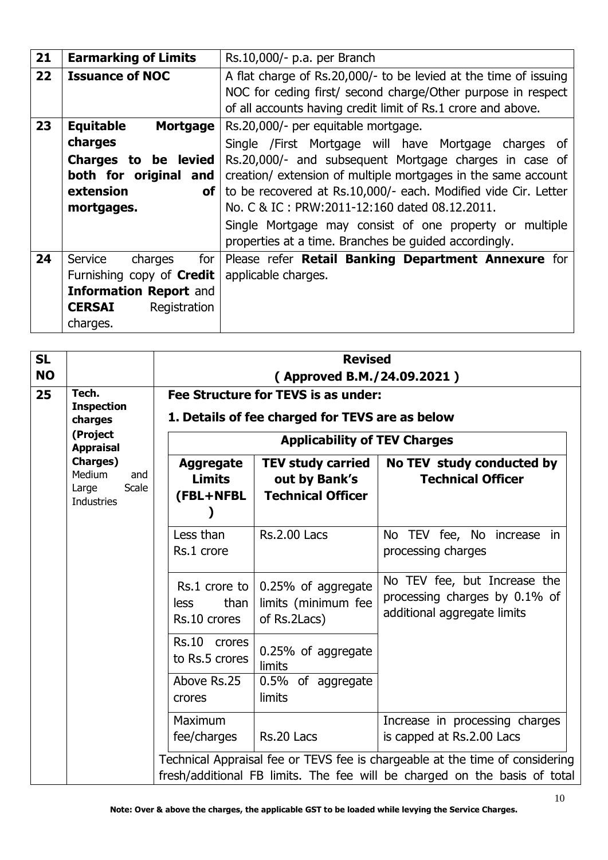| 21 | <b>Earmarking of Limits</b>         | Rs.10,000/- p.a. per Branch                                      |
|----|-------------------------------------|------------------------------------------------------------------|
| 22 | <b>Issuance of NOC</b>              | A flat charge of Rs.20,000/- to be levied at the time of issuing |
|    |                                     | NOC for ceding first/ second charge/Other purpose in respect     |
|    |                                     | of all accounts having credit limit of Rs.1 crore and above.     |
| 23 | <b>Equitable</b><br><b>Mortgage</b> | Rs.20,000/- per equitable mortgage.                              |
|    | charges                             | Single /First Mortgage will have Mortgage charges of             |
|    | Charges to be levied                | Rs.20,000/- and subsequent Mortgage charges in case of           |
|    | both for original and               | creation/ extension of multiple mortgages in the same account    |
|    | extension<br><b>of</b>              | to be recovered at Rs.10,000/- each. Modified vide Cir. Letter   |
|    | mortgages.                          | No. C & IC: PRW:2011-12:160 dated 08.12.2011.                    |
|    |                                     | Single Mortgage may consist of one property or multiple          |
|    |                                     | properties at a time. Branches be guided accordingly.            |
| 24 | Service<br>for<br>charges           | Please refer Retail Banking Department Annexure for              |
|    | Furnishing copy of <b>Credit</b>    | applicable charges.                                              |
|    | <b>Information Report and</b>       |                                                                  |
|    | <b>CERSAI</b><br>Registration       |                                                                  |
|    | charges.                            |                                                                  |

| <b>SL</b> |                                                                                                                 | <b>Revised</b>                                 |                                                                             |                                                                                                                                                           |
|-----------|-----------------------------------------------------------------------------------------------------------------|------------------------------------------------|-----------------------------------------------------------------------------|-----------------------------------------------------------------------------------------------------------------------------------------------------------|
| <b>NO</b> |                                                                                                                 | (Approved B.M./24.09.2021)                     |                                                                             |                                                                                                                                                           |
| 25        | Tech.                                                                                                           |                                                | Fee Structure for TEVS is as under:                                         |                                                                                                                                                           |
|           | <b>Inspection</b><br>charges                                                                                    |                                                | 1. Details of fee charged for TEVS are as below                             |                                                                                                                                                           |
|           | (Project<br><b>Appraisal</b><br><b>Charges</b> )<br>Medium<br>and<br><b>Scale</b><br>Large<br><b>Industries</b> |                                                | <b>Applicability of TEV Charges</b>                                         |                                                                                                                                                           |
|           |                                                                                                                 | <b>Aggregate</b><br><b>Limits</b><br>(FBL+NFBL | <b>TEV study carried</b><br>out by Bank's<br><b>Technical Officer</b>       | No TEV study conducted by<br><b>Technical Officer</b>                                                                                                     |
|           |                                                                                                                 | Less than<br>Rs.1 crore                        | <b>Rs.2.00 Lacs</b>                                                         | No TEV fee, No increase in<br>processing charges                                                                                                          |
|           |                                                                                                                 | than<br>less<br>Rs.10 crores                   | Rs.1 crore to $ 0.25\%$ of aggregate<br>limits (minimum fee<br>of Rs.2Lacs) | No TEV fee, but Increase the<br>processing charges by 0.1% of<br>additional aggregate limits                                                              |
|           |                                                                                                                 | Rs.10 crores<br>to Rs.5 crores                 | 0.25% of aggregate<br>limits                                                |                                                                                                                                                           |
|           |                                                                                                                 | Above Rs.25<br>crores                          | 0.5% of aggregate<br>limits                                                 |                                                                                                                                                           |
|           |                                                                                                                 | Maximum<br>fee/charges                         | Rs.20 Lacs                                                                  | Increase in processing charges<br>is capped at Rs.2.00 Lacs                                                                                               |
|           |                                                                                                                 |                                                |                                                                             | Technical Appraisal fee or TEVS fee is chargeable at the time of considering<br>fresh/additional FB limits. The fee will be charged on the basis of total |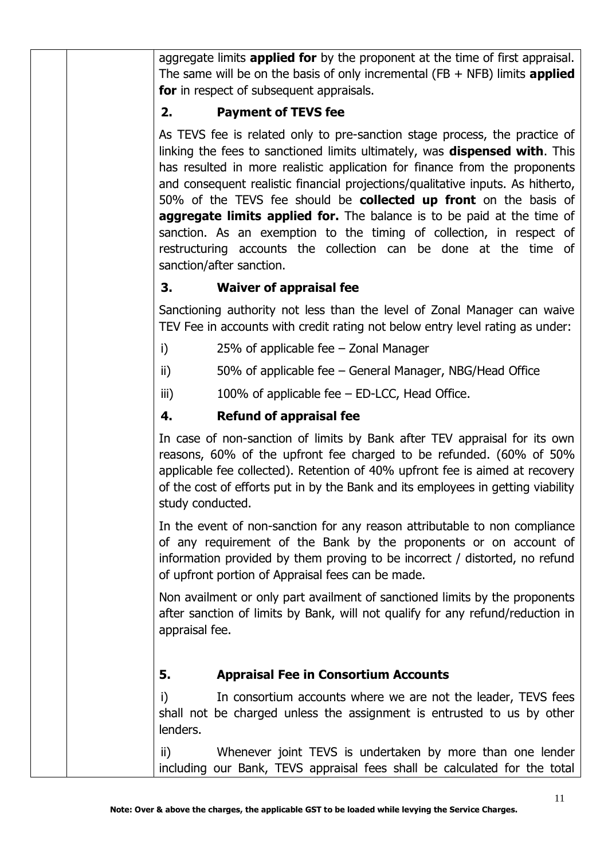aggregate limits **applied for** by the proponent at the time of first appraisal. The same will be on the basis of only incremental (FB + NFB) limits **applied for** in respect of subsequent appraisals.

# **2. Payment of TEVS fee**

As TEVS fee is related only to pre-sanction stage process, the practice of linking the fees to sanctioned limits ultimately, was **dispensed with**. This has resulted in more realistic application for finance from the proponents and consequent realistic financial projections/qualitative inputs. As hitherto, 50% of the TEVS fee should be **collected up front** on the basis of **aggregate limits applied for.** The balance is to be paid at the time of sanction. As an exemption to the timing of collection, in respect of restructuring accounts the collection can be done at the time of sanction/after sanction.

# **3. Waiver of appraisal fee**

Sanctioning authority not less than the level of Zonal Manager can waive TEV Fee in accounts with credit rating not below entry level rating as under:

- i) 25% of applicable fee Zonal Manager
- ii) 50% of applicable fee General Manager, NBG/Head Office
- iii) 100% of applicable fee ED-LCC, Head Office.

# **4. Refund of appraisal fee**

In case of non-sanction of limits by Bank after TEV appraisal for its own reasons, 60% of the upfront fee charged to be refunded. (60% of 50% applicable fee collected). Retention of 40% upfront fee is aimed at recovery of the cost of efforts put in by the Bank and its employees in getting viability study conducted.

In the event of non-sanction for any reason attributable to non compliance of any requirement of the Bank by the proponents or on account of information provided by them proving to be incorrect / distorted, no refund of upfront portion of Appraisal fees can be made.

Non availment or only part availment of sanctioned limits by the proponents after sanction of limits by Bank, will not qualify for any refund/reduction in appraisal fee.

# **5. Appraisal Fee in Consortium Accounts**

i) In consortium accounts where we are not the leader, TEVS fees shall not be charged unless the assignment is entrusted to us by other lenders.

ii) Whenever joint TEVS is undertaken by more than one lender including our Bank, TEVS appraisal fees shall be calculated for the total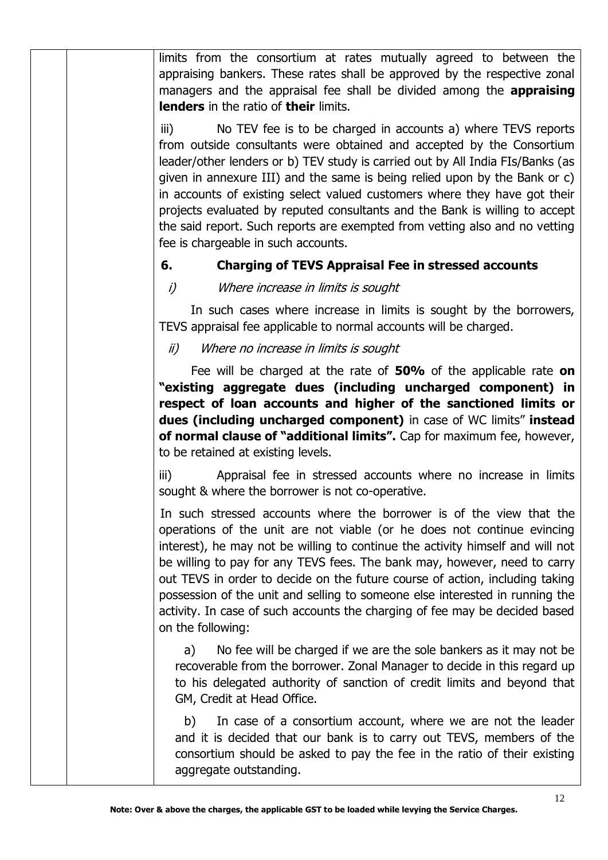limits from the consortium at rates mutually agreed to between the appraising bankers. These rates shall be approved by the respective zonal managers and the appraisal fee shall be divided among the **appraising lenders** in the ratio of **their** limits.

iii) No TEV fee is to be charged in accounts a) where TEVS reports from outside consultants were obtained and accepted by the Consortium leader/other lenders or b) TEV study is carried out by All India FIs/Banks (as given in annexure III) and the same is being relied upon by the Bank or c) in accounts of existing select valued customers where they have got their projects evaluated by reputed consultants and the Bank is willing to accept the said report. Such reports are exempted from vetting also and no vetting fee is chargeable in such accounts.

# **6. Charging of TEVS Appraisal Fee in stressed accounts**

### i) Where increase in limits is sought

 In such cases where increase in limits is sought by the borrowers, TEVS appraisal fee applicable to normal accounts will be charged.

### ii) Where no increase in limits is sought

 Fee will be charged at the rate of **50%** of the applicable rate **on "existing aggregate dues (including uncharged component) in respect of loan accounts and higher of the sanctioned limits or dues (including uncharged component)** in case of WC limits" **instead of normal clause of "additional limits".** Cap for maximum fee, however, to be retained at existing levels.

iii) Appraisal fee in stressed accounts where no increase in limits sought & where the borrower is not co-operative.

 In such stressed accounts where the borrower is of the view that the operations of the unit are not viable (or he does not continue evincing interest), he may not be willing to continue the activity himself and will not be willing to pay for any TEVS fees. The bank may, however, need to carry out TEVS in order to decide on the future course of action, including taking possession of the unit and selling to someone else interested in running the activity. In case of such accounts the charging of fee may be decided based on the following:

a) No fee will be charged if we are the sole bankers as it may not be recoverable from the borrower. Zonal Manager to decide in this regard up to his delegated authority of sanction of credit limits and beyond that GM, Credit at Head Office.

b) In case of a consortium account, where we are not the leader and it is decided that our bank is to carry out TEVS, members of the consortium should be asked to pay the fee in the ratio of their existing aggregate outstanding.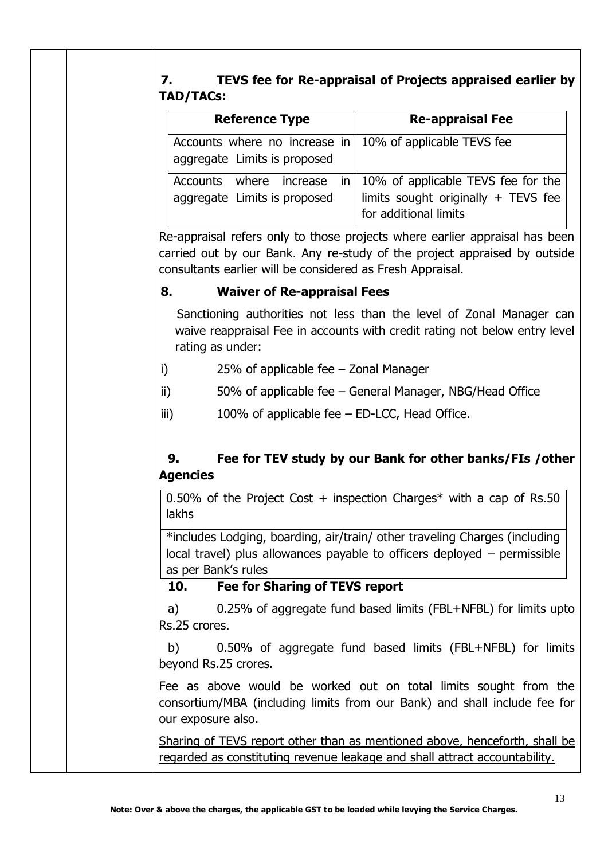# **7. TEVS fee for Re-appraisal of Projects appraised earlier by TAD/TACs:**

| <b>Reference Type</b>                                         | <b>Re-appraisal Fee</b>                                                                                       |
|---------------------------------------------------------------|---------------------------------------------------------------------------------------------------------------|
| Accounts where no increase in<br>aggregate Limits is proposed | 10% of applicable TEVS fee                                                                                    |
| Accounts where increase<br>aggregate Limits is proposed       | in $\vert$ 10% of applicable TEVS fee for the<br>limits sought originally + TEVS fee<br>for additional limits |

Re-appraisal refers only to those projects where earlier appraisal has been carried out by our Bank. Any re-study of the project appraised by outside consultants earlier will be considered as Fresh Appraisal.

# **8. Waiver of Re-appraisal Fees**

Sanctioning authorities not less than the level of Zonal Manager can waive reappraisal Fee in accounts with credit rating not below entry level rating as under:

- i) 25% of applicable fee Zonal Manager
- ii) 50% of applicable fee General Manager, NBG/Head Office
- iii)  $100\%$  of applicable fee ED-LCC, Head Office.

# **9. Fee for TEV study by our Bank for other banks/FIs /other Agencies**

0.50% of the Project Cost  $+$  inspection Charges\* with a cap of Rs.50 lakhs

\*includes Lodging, boarding, air/train/ other traveling Charges (including local travel) plus allowances payable to officers deployed – permissible as per Bank's rules

# **10. Fee for Sharing of TEVS report**

a) 0.25% of aggregate fund based limits (FBL+NFBL) for limits upto Rs.25 crores.

b) 0.50% of aggregate fund based limits (FBL+NFBL) for limits beyond Rs.25 crores.

Fee as above would be worked out on total limits sought from the consortium/MBA (including limits from our Bank) and shall include fee for our exposure also.

Sharing of TEVS report other than as mentioned above, henceforth, shall be regarded as constituting revenue leakage and shall attract accountability.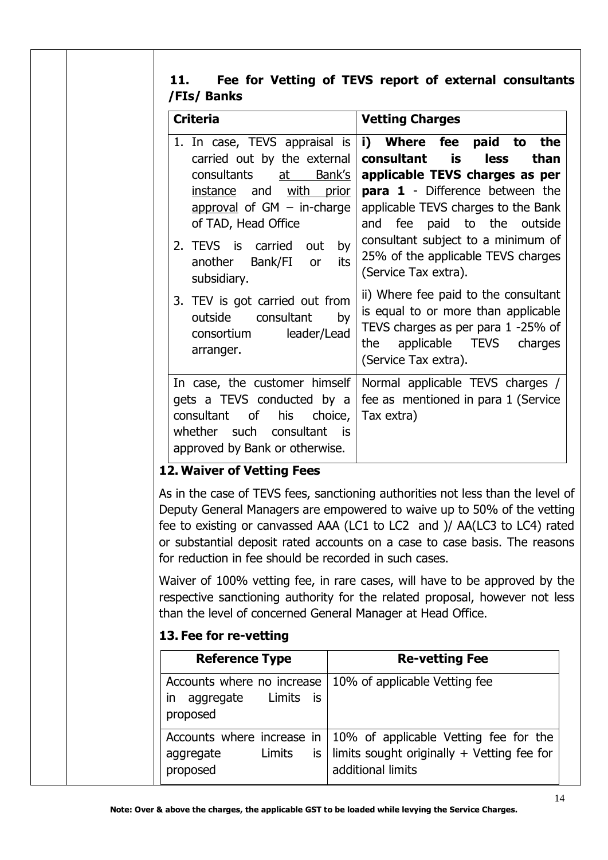# **11. Fee for Vetting of TEVS report of external consultants /FIs/ Banks**

| <b>Criteria</b>                                                                                                                                                                                                                                                  | <b>Vetting Charges</b>                                                                                                                                                                                                                                                                                             |
|------------------------------------------------------------------------------------------------------------------------------------------------------------------------------------------------------------------------------------------------------------------|--------------------------------------------------------------------------------------------------------------------------------------------------------------------------------------------------------------------------------------------------------------------------------------------------------------------|
| 1. In case, TEVS appraisal is<br>carried out by the external<br>consultants at<br>Bank's<br>instance and with<br><u>prior</u><br>approval of $GM - in-charge$<br>of TAD, Head Office<br>2. TEVS is carried out<br>by<br>another Bank/FI or<br>its<br>subsidiary. | i) Where fee paid to the<br>is<br>consultant<br><b>less</b><br>than<br>applicable TEVS charges as per<br>para 1 - Difference between the<br>applicable TEVS charges to the Bank<br>and fee paid to the outside<br>consultant subject to a minimum of<br>25% of the applicable TEVS charges<br>(Service Tax extra). |
| 3. TEV is got carried out from<br>outside consultant<br>by<br>leader/Lead<br>consortium<br>arranger.                                                                                                                                                             | ii) Where fee paid to the consultant<br>is equal to or more than applicable<br>TEVS charges as per para 1 -25% of<br>applicable TEVS charges<br>the<br>(Service Tax extra).                                                                                                                                        |
| In case, the customer himself<br>gets a TEVS conducted by a<br>consultant of his choice,<br>whether<br>such consultant is<br>approved by Bank or otherwise.                                                                                                      | Normal applicable TEVS charges /<br>fee as mentioned in para 1 (Service<br>Tax extra)                                                                                                                                                                                                                              |

# **12. Waiver of Vetting Fees**

As in the case of TEVS fees, sanctioning authorities not less than the level of Deputy General Managers are empowered to waive up to 50% of the vetting fee to existing or canvassed AAA (LC1 to LC2 and )/ AA(LC3 to LC4) rated or substantial deposit rated accounts on a case to case basis. The reasons for reduction in fee should be recorded in such cases.

Waiver of 100% vetting fee, in rare cases, will have to be approved by the respective sanctioning authority for the related proposal, however not less than the level of concerned General Manager at Head Office.

# **13. Fee for re-vetting**

| <b>Reference Type</b>                                                                  | <b>Re-vetting Fee</b>                                                                                                                            |
|----------------------------------------------------------------------------------------|--------------------------------------------------------------------------------------------------------------------------------------------------|
| Accounts where no increase<br>is is<br>aggregate<br>Limits<br>$\mathsf{I}$<br>proposed | 10% of applicable Vetting fee                                                                                                                    |
| aggregate<br>Limits<br>proposed                                                        | Accounts where increase in $\vert$ 10% of applicable Vetting fee for the<br>is   limits sought originally + Vetting fee for<br>additional limits |